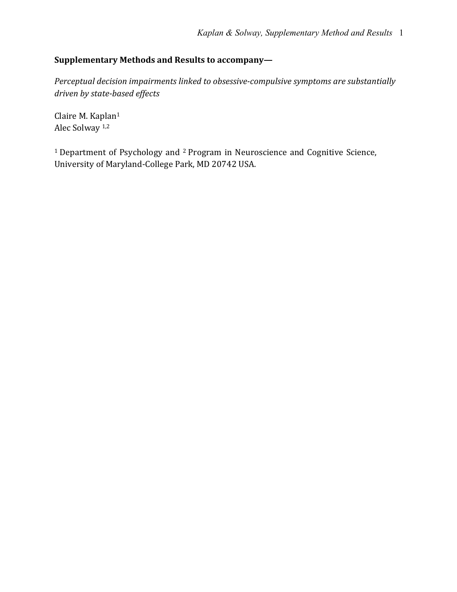# **Supplementary Methods and Results to accompany—**

Perceptual decision impairments linked to obsessive-compulsive symptoms are substantially *driven by state-based effects*

Claire M. Kaplan<sup>1</sup> Alec Solway<sup>1,2</sup>

<sup>1</sup> Department of Psychology and <sup>2</sup> Program in Neuroscience and Cognitive Science, University of Maryland-College Park, MD 20742 USA.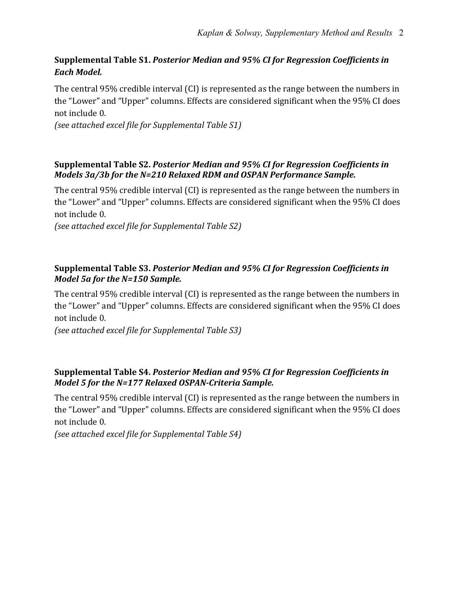# **Supplemental Table S1. Posterior Median and 95% CI for Regression Coefficients in** *Each Model.*

The central 95% credible interval (CI) is represented as the range between the numbers in the "Lower" and "Upper" columns. Effects are considered significant when the 95% CI does not include 0.

*(see attached excel file for Supplemental Table S1)*

## **Supplemental Table S2. Posterior Median and 95% CI for Regression Coefficients in** *Models 3a/3b for the N=210 Relaxed RDM and OSPAN Performance Sample.*

The central  $95\%$  credible interval  $\Gamma$  is represented as the range between the numbers in the "Lower" and "Upper" columns. Effects are considered significant when the 95% CI does not include 0.

*(see attached excel file for Supplemental Table S2)*

## **Supplemental Table S3. Posterior Median and 95% CI for Regression Coefficients in** *Model 5a for the N=150 Sample.*

The central 95% credible interval (CI) is represented as the range between the numbers in the "Lower" and "Upper" columns. Effects are considered significant when the 95% CI does not include 0.

*(see attached excel file for Supplemental Table S3)*

## **Supplemental Table S4. Posterior Median and 95% CI for Regression Coefficients in** *Model* 5 for the N=177 Relaxed OSPAN-Criteria Sample.

The central 95% credible interval (CI) is represented as the range between the numbers in the "Lower" and "Upper" columns. Effects are considered significant when the 95% CI does not include 0.

*(see attached excel file for Supplemental Table S4)*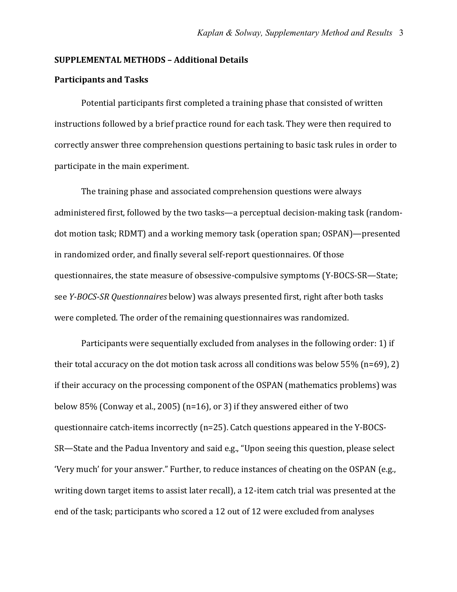#### **SUPPLEMENTAL METHODS – Additional Details**

#### **Participants and Tasks**

Potential participants first completed a training phase that consisted of written instructions followed by a brief practice round for each task. They were then required to correctly answer three comprehension questions pertaining to basic task rules in order to participate in the main experiment.

The training phase and associated comprehension questions were always administered first, followed by the two tasks—a perceptual decision-making task (randomdot motion task; RDMT) and a working memory task (operation span; OSPAN)—presented in randomized order, and finally several self-report questionnaires. Of those questionnaires, the state measure of obsessive-compulsive symptoms (Y-BOCS-SR—State; see *Y-BOCS-SR Questionnaires* below) was always presented first, right after both tasks were completed. The order of the remaining questionnaires was randomized.

Participants were sequentially excluded from analyses in the following order: 1) if their total accuracy on the dot motion task across all conditions was below  $55\%$  (n=69), 2) if their accuracy on the processing component of the OSPAN (mathematics problems) was below  $85\%$  (Conway et al., 2005) (n=16), or 3) if they answered either of two questionnaire catch-items incorrectly  $(n=25)$ . Catch questions appeared in the Y-BOCS-SR—State and the Padua Inventory and said e.g., "Upon seeing this question, please select 'Very much' for your answer." Further, to reduce instances of cheating on the OSPAN (e.g., writing down target items to assist later recall), a 12-item catch trial was presented at the end of the task; participants who scored a 12 out of 12 were excluded from analyses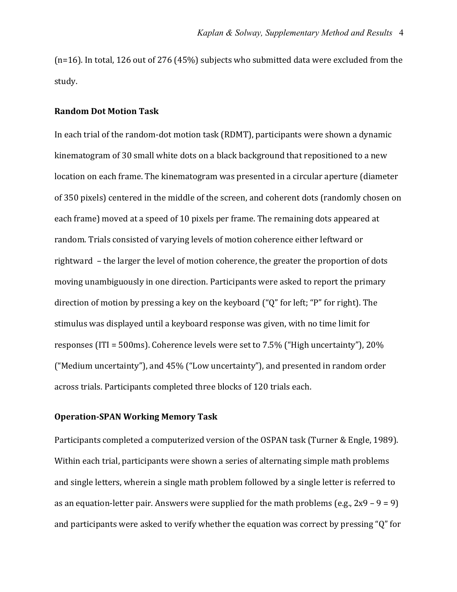$(n=16)$ . In total, 126 out of 276 (45%) subjects who submitted data were excluded from the study. 

#### **Random Dot Motion Task**

In each trial of the random-dot motion task (RDMT), participants were shown a dynamic kinematogram of 30 small white dots on a black background that repositioned to a new location on each frame. The kinematogram was presented in a circular aperture (diameter of 350 pixels) centered in the middle of the screen, and coherent dots (randomly chosen on each frame) moved at a speed of 10 pixels per frame. The remaining dots appeared at random. Trials consisted of varying levels of motion coherence either leftward or rightward - the larger the level of motion coherence, the greater the proportion of dots moving unambiguously in one direction. Participants were asked to report the primary direction of motion by pressing a key on the keyboard  $($ " $Q$ " for left; "P" for right). The stimulus was displayed until a keyboard response was given, with no time limit for responses (ITI =  $500$ ms). Coherence levels were set to  $7.5\%$  ("High uncertainty"),  $20\%$ ("Medium uncertainty"), and  $45\%$  ("Low uncertainty"), and presented in random order across trials. Participants completed three blocks of 120 trials each.

## **Operation-SPAN Working Memory Task**

Participants completed a computerized version of the OSPAN task (Turner & Engle, 1989). Within each trial, participants were shown a series of alternating simple math problems and single letters, wherein a single math problem followed by a single letter is referred to as an equation-letter pair. Answers were supplied for the math problems (e.g.,  $2x9 - 9 = 9$ ) and participants were asked to verify whether the equation was correct by pressing " $Q$ " for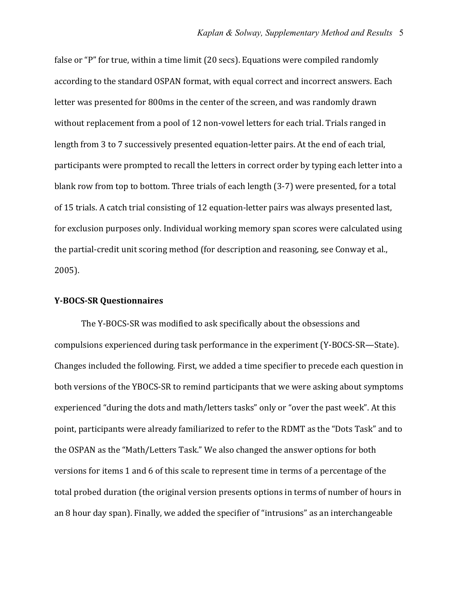false or "P" for true, within a time limit (20 secs). Equations were compiled randomly according to the standard OSPAN format, with equal correct and incorrect answers. Each letter was presented for 800ms in the center of the screen, and was randomly drawn without replacement from a pool of 12 non-vowel letters for each trial. Trials ranged in length from 3 to 7 successively presented equation-letter pairs. At the end of each trial, participants were prompted to recall the letters in correct order by typing each letter into a blank row from top to bottom. Three trials of each length (3-7) were presented, for a total of 15 trials. A catch trial consisting of 12 equation-letter pairs was always presented last, for exclusion purposes only. Individual working memory span scores were calculated using the partial-credit unit scoring method (for description and reasoning, see Conway et al., 2005). 

### **Y-BOCS-SR Questionnaires**

The Y-BOCS-SR was modified to ask specifically about the obsessions and compulsions experienced during task performance in the experiment (Y-BOCS-SR—State). Changes included the following. First, we added a time specifier to precede each question in both versions of the YBOCS-SR to remind participants that we were asking about symptoms experienced "during the dots and math/letters tasks" only or "over the past week". At this point, participants were already familiarized to refer to the RDMT as the "Dots Task" and to the OSPAN as the "Math/Letters Task." We also changed the answer options for both versions for items 1 and 6 of this scale to represent time in terms of a percentage of the total probed duration (the original version presents options in terms of number of hours in an 8 hour day span). Finally, we added the specifier of "intrusions" as an interchangeable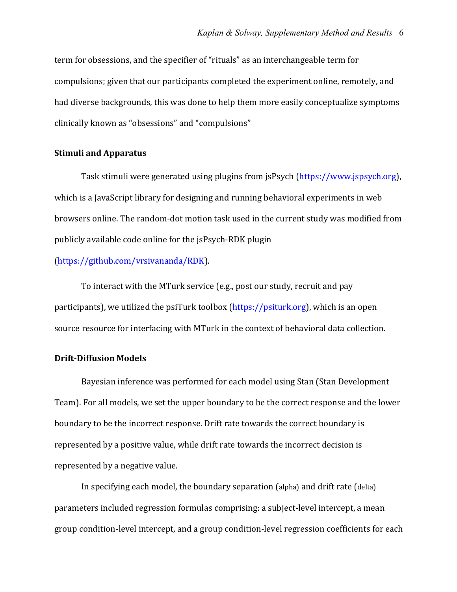term for obsessions, and the specifier of "rituals" as an interchangeable term for compulsions; given that our participants completed the experiment online, remotely, and had diverse backgrounds, this was done to help them more easily conceptualize symptoms clinically known as "obsessions" and "compulsions"

## **Stimuli and Apparatus**

Task stimuli were generated using plugins from jsPsych (https://www.jspsych.org), which is a JavaScript library for designing and running behavioral experiments in web browsers online. The random-dot motion task used in the current study was modified from publicly available code online for the jsPsych-RDK plugin

(https://github.com/vrsivananda/RDK). 

To interact with the MTurk service (e.g., post our study, recruit and pay participants), we utilized the psiTurk toolbox  $(https://psiturk.org)$ , which is an open source resource for interfacing with MTurk in the context of behavioral data collection.

### **Drift-Diffusion Models**

Bayesian inference was performed for each model using Stan (Stan Development Team). For all models, we set the upper boundary to be the correct response and the lower boundary to be the incorrect response. Drift rate towards the correct boundary is represented by a positive value, while drift rate towards the incorrect decision is represented by a negative value.

In specifying each model, the boundary separation (alpha) and drift rate (delta) parameters included regression formulas comprising: a subject-level intercept, a mean group condition-level intercept, and a group condition-level regression coefficients for each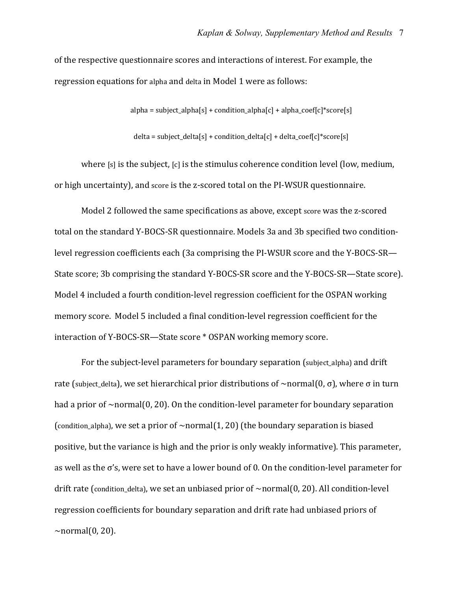of the respective questionnaire scores and interactions of interest. For example, the regression equations for alpha and delta in Model 1 were as follows:

 $alpha = subject_alpha[s] + condition_alpha[c] + alpha[cc]$ 

delta = subject delta[s] + condition delta[c] + delta coef[c]\*score[s]

where  $[s]$  is the subject,  $[c]$  is the stimulus coherence condition level (low, medium, or high uncertainty), and score is the z-scored total on the PI-WSUR questionnaire.

Model 2 followed the same specifications as above, except score was the z-scored total on the standard Y-BOCS-SR questionnaire. Models 3a and 3b specified two conditionlevel regression coefficients each (3a comprising the PI-WSUR score and the Y-BOCS-SR— State score; 3b comprising the standard Y-BOCS-SR score and the Y-BOCS-SR—State score). Model 4 included a fourth condition-level regression coefficient for the OSPAN working memory score. Model 5 included a final condition-level regression coefficient for the interaction of Y-BOCS-SR—State score \* OSPAN working memory score.

For the subject-level parameters for boundary separation (subject alpha) and drift rate (subject delta), we set hierarchical prior distributions of  $\sim$ normal(0,  $\sigma$ ), where  $\sigma$  in turn had a prior of  $\sim$ normal(0, 20). On the condition-level parameter for boundary separation (condition\_alpha), we set a prior of  $\sim$ normal(1, 20) (the boundary separation is biased positive, but the variance is high and the prior is only weakly informative). This parameter, as well as the  $\sigma$ 's, were set to have a lower bound of 0. On the condition-level parameter for drift rate (condition\_delta), we set an unbiased prior of  $\sim$ normal(0, 20). All condition-level regression coefficients for boundary separation and drift rate had unbiased priors of  $\sim$ normal $(0, 20)$ .